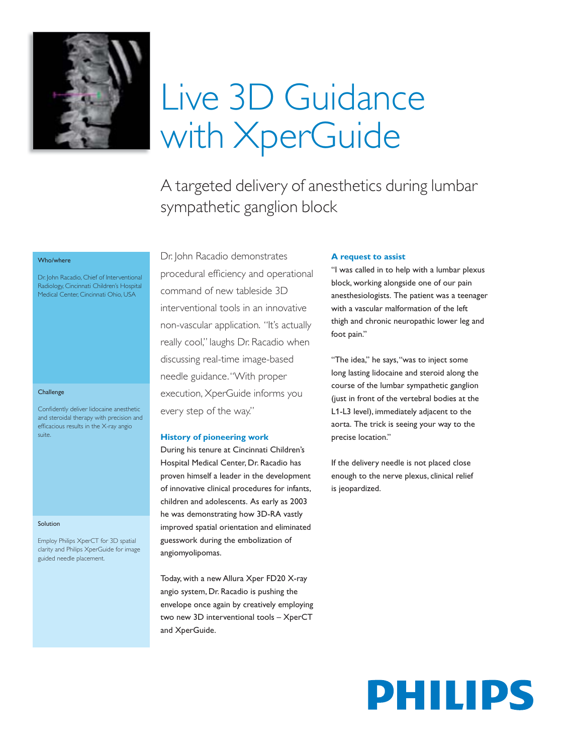

# Live 3D Guidance with XperGuide

A targeted delivery of anesthetics during lumbar sympathetic ganglion block

# Who/where

Dr. John Racadio, Chief of Interventional Radiology, Cincinnati Children's Hospital Medical Center, Cincinnati Ohio, USA

#### **Challenge**

Confidently deliver lidocaine anesthetic and steroidal therapy with precision and efficacious results in the X-ray angio suite.

#### Solution

Employ Philips XperCT for 3D spatial clarity and Philips XperGuide for image guided needle placement.

Dr. John Racadio demonstrates procedural efficiency and operational command of new tableside 3D interventional tools in an innovative non-vascular application. "It's actually really cool," laughs Dr. Racadio when discussing real-time image-based needle guidance. "With proper execution, XperGuide informs you every step of the way."

## **History of pioneering work**

During his tenure at Cincinnati Children's Hospital Medical Center, Dr. Racadio has proven himself a leader in the development of innovative clinical procedures for infants, children and adolescents. As early as 2003 he was demonstrating how 3D-RA vastly improved spatial orientation and eliminated guesswork during the embolization of angiomyolipomas.

Today, with a new Allura Xper FD20 X-ray angio system, Dr. Racadio is pushing the envelope once again by creatively employing two new 3D interventional tools – XperCT and XperGuide.

## **A request to assist**

"I was called in to help with a lumbar plexus block, working alongside one of our pain anesthesiologists. The patient was a teenager with a vascular malformation of the left thigh and chronic neuropathic lower leg and foot pain."

"The idea," he says, "was to inject some long lasting lidocaine and steroid along the course of the lumbar sympathetic ganglion (just in front of the vertebral bodies at the L1-L3 level), immediately adjacent to the aorta. The trick is seeing your way to the precise location."

If the delivery needle is not placed close enough to the nerve plexus, clinical relief is jeopardized.

# PHILIPS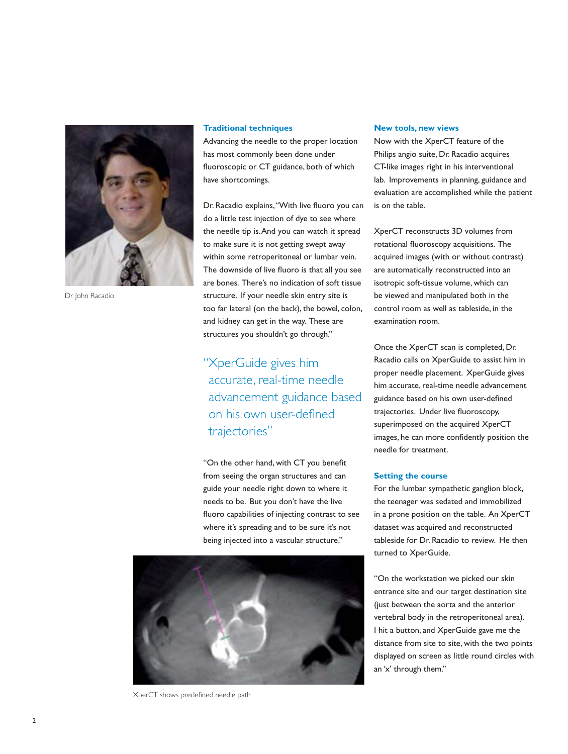

Dr. John Racadio

#### **Traditional techniques**

Advancing the needle to the proper location has most commonly been done under fluoroscopic or CT guidance, both of which have shortcomings.

Dr. Racadio explains, "With live fluoro you can do a little test injection of dye to see where the needle tip is. And you can watch it spread to make sure it is not getting swept away within some retroperitoneal or lumbar vein. The downside of live fluoro is that all you see are bones. There's no indication of soft tissue structure. If your needle skin entry site is too far lateral (on the back), the bowel, colon, and kidney can get in the way. These are structures you shouldn't go through."

"XperGuide gives him accurate, real-time needle advancement guidance based on his own user-defined trajectories"

"On the other hand, with CT you benefit from seeing the organ structures and can guide your needle right down to where it needs to be. But you don't have the live fluoro capabilities of injecting contrast to see where it's spreading and to be sure it's not being injected into a vascular structure."



XperCT shows predefined needle path

### **New tools, new views**

Now with the XperCT feature of the Philips angio suite, Dr. Racadio acquires CT-like images right in his interventional lab. Improvements in planning, guidance and evaluation are accomplished while the patient is on the table.

XperCT reconstructs 3D volumes from rotational fluoroscopy acquisitions. The acquired images (with or without contrast) are automatically reconstructed into an isotropic soft-tissue volume, which can be viewed and manipulated both in the control room as well as tableside, in the examination room.

Once the XperCT scan is completed, Dr. Racadio calls on XperGuide to assist him in proper needle placement. XperGuide gives him accurate, real-time needle advancement guidance based on his own user-defined trajectories. Under live fluoroscopy, superimposed on the acquired XperCT images, he can more confidently position the needle for treatment.

#### **Setting the course**

For the lumbar sympathetic ganglion block, the teenager was sedated and immobilized in a prone position on the table. An XperCT dataset was acquired and reconstructed tableside for Dr. Racadio to review. He then turned to XperGuide.

"On the workstation we picked our skin entrance site and our target destination site (just between the aorta and the anterior vertebral body in the retroperitoneal area). I hit a button, and XperGuide gave me the distance from site to site, with the two points displayed on screen as little round circles with an 'x' through them."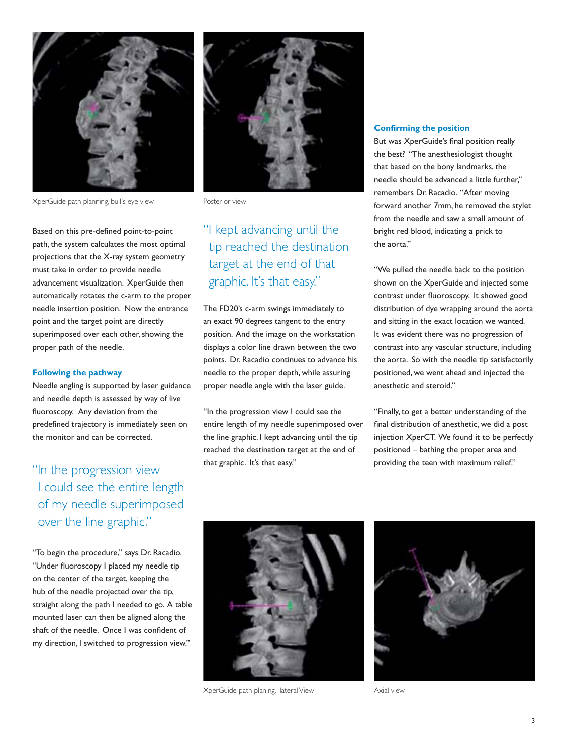

XperGuide path planning, bull's eye view Posterior view

Based on this pre-defined point-to-point path, the system calculates the most optimal projections that the X-ray system geometry must take in order to provide needle advancement visualization. XperGuide then automatically rotates the c-arm to the proper needle insertion position. Now the entrance point and the target point are directly superimposed over each other, showing the proper path of the needle.

# **Following the pathway**

Needle angling is supported by laser guidance and needle depth is assessed by way of live fluoroscopy. Any deviation from the predefined trajectory is immediately seen on the monitor and can be corrected.

"In the progression view I could see the entire length of my needle superimposed over the line graphic."

"To begin the procedure," says Dr. Racadio. "Under fluoroscopy I placed my needle tip on the center of the target, keeping the hub of the needle projected over the tip, straight along the path I needed to go. A table mounted laser can then be aligned along the shaft of the needle. Once I was confident of my direction, I switched to progression view."



# "I kept advancing until the tip reached the destination target at the end of that graphic. It's that easy."

The FD20's c-arm swings immediately to an exact 90 degrees tangent to the entry position. And the image on the workstation displays a color line drawn between the two points. Dr. Racadio continues to advance his needle to the proper depth, while assuring proper needle angle with the laser guide.

"In the progression view I could see the entire length of my needle superimposed over the line graphic. I kept advancing until the tip reached the destination target at the end of that graphic. It's that easy."

#### **Confirming the position**

But was XperGuide's final position really the best? "The anesthesiologist thought that based on the bony landmarks, the needle should be advanced a little further," remembers Dr. Racadio. "After moving forward another 7mm, he removed the stylet from the needle and saw a small amount of bright red blood, indicating a prick to the aorta."

"We pulled the needle back to the position shown on the XperGuide and injected some contrast under fluoroscopy. It showed good distribution of dye wrapping around the aorta and sitting in the exact location we wanted. It was evident there was no progression of contrast into any vascular structure, including the aorta. So with the needle tip satisfactorily positioned, we went ahead and injected the anesthetic and steroid."

"Finally, to get a better understanding of the final distribution of anesthetic, we did a post injection XperCT. We found it to be perfectly positioned – bathing the proper area and providing the teen with maximum relief."



XperGuide path planing, lateral View **Axial view** Axial view